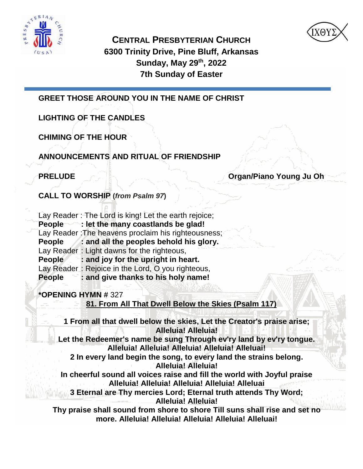



**CENTRAL PRESBYTERIAN CHURCH 6300 Trinity Drive, Pine Bluff, Arkansas Sunday, May 29 th, 2022 7th Sunday of Easter**

**GREET THOSE AROUND YOU IN THE NAME OF CHRIST** 

**LIGHTING OF THE CANDLES**

**CHIMING OF THE HOUR**

**ANNOUNCEMENTS AND RITUAL OF FRIENDSHIP**

**PRELUDE AND RELUDE Organ/Piano Young Ju Oh** 

**CALL TO WORSHIP (***from Psalm 97***)**

Lay Reader : The Lord is king! Let the earth rejoice;

**People : let the many coastlands be glad!**  Lay Reader: The heavens proclaim his righteousness; **People : and all the peoples behold his glory.** 

Lay Reader : Light dawns for the righteous, **People : and joy for the upright in heart.** 

Lay Reader : Rejoice in the Lord, O you righteous,

**People : and give thanks to his holy name!**

**\*OPENING HYMN #** 327

**81. From All That Dwell Below the Skies (Psalm 117)**

**1 From all that dwell below the skies, Let the Creator's praise arise; Alleluia! Alleluia!**

**Let the Redeemer's name be sung Through ev'ry land by ev'ry tongue. Alleluia! Alleluia! Alleluia! Alleluia! Alleluai!** 

**2 In every land begin the song, to every land the strains belong. Alleluia! Alleluia!**

**In cheerful sound all voices raise and fill the world with Joyful praise Alleluia! Alleluia! Alleluia! Alleluia! Alleluai**

**3 Eternal are Thy mercies Lord; Eternal truth attends Thy Word; Alleluia! Alleluia!**

**Thy praise shall sound from shore to shore Till suns shall rise and set no more. Alleluia! Alleluia! Alleluia! Alleluia! Alleluai!**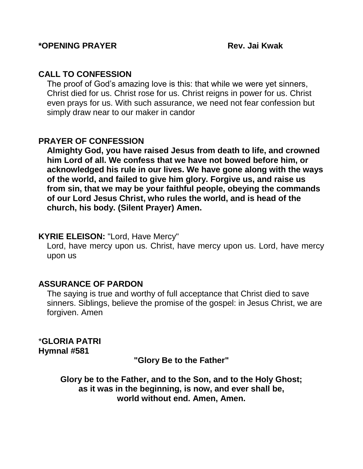#### **CALL TO CONFESSION**

The proof of God's amazing love is this: that while we were yet sinners, Christ died for us. Christ rose for us. Christ reigns in power for us. Christ even prays for us. With such assurance, we need not fear confession but simply draw near to our maker in candor

### **PRAYER OF CONFESSION**

**Almighty God, you have raised Jesus from death to life, and crowned him Lord of all. We confess that we have not bowed before him, or acknowledged his rule in our lives. We have gone along with the ways of the world, and failed to give him glory. Forgive us, and raise us from sin, that we may be your faithful people, obeying the commands of our Lord Jesus Christ, who rules the world, and is head of the church, his body. (Silent Prayer) Amen.**

#### **KYRIE ELEISON:** "Lord, Have Mercy"

Lord, have mercy upon us. Christ, have mercy upon us. Lord, have mercy upon us

#### **ASSURANCE OF PARDON**

The saying is true and worthy of full acceptance that Christ died to save sinners. Siblings, believe the promise of the gospel: in Jesus Christ, we are forgiven. Amen

\***GLORIA PATRI Hymnal #581**

**"Glory Be to the Father"**

**Glory be to the Father, and to the Son, and to the Holy Ghost; as it was in the beginning, is now, and ever shall be, world without end. Amen, Amen.**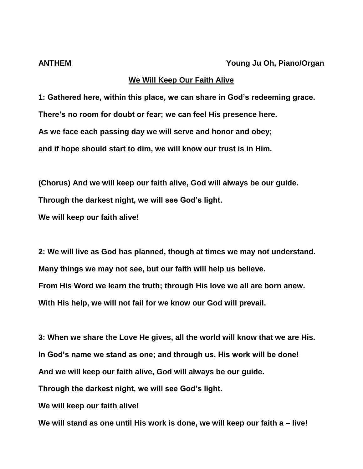#### **We Will Keep Our Faith Alive**

**1: Gathered here, within this place, we can share in God's redeeming grace. There's no room for doubt or fear; we can feel His presence here. As we face each passing day we will serve and honor and obey; and if hope should start to dim, we will know our trust is in Him.**

**(Chorus) And we will keep our faith alive, God will always be our guide. Through the darkest night, we will see God's light. We will keep our faith alive!**

**2: We will live as God has planned, though at times we may not understand. Many things we may not see, but our faith will help us believe. From His Word we learn the truth; through His love we all are born anew. With His help, we will not fail for we know our God will prevail.**

**3: When we share the Love He gives, all the world will know that we are His. In God's name we stand as one; and through us, His work will be done! And we will keep our faith alive, God will always be our guide. Through the darkest night, we will see God's light. We will keep our faith alive!**

**We will stand as one until His work is done, we will keep our faith a – live!**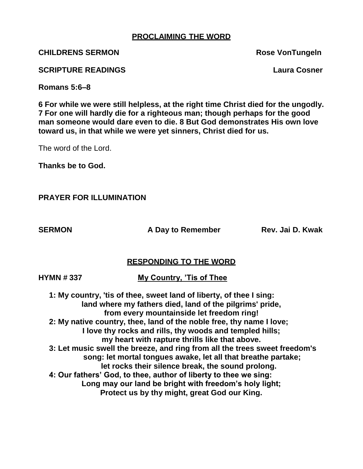#### **PROCLAIMING THE WORD**

**CHILDRENS SERMON ROSE VONTUNGERS** 

**SCRIPTURE READINGS Laura Cosner**

**Romans 5:6–8**

**6 For while we were still helpless, at the right time Christ died for the ungodly. 7 For one will hardly die for a righteous man; though perhaps for the good man someone would dare even to die. 8 But God demonstrates His own love toward us, in that while we were yet sinners, Christ died for us.**

The word of the Lord.

**Thanks be to God.**

**PRAYER FOR ILLUMINATION**

**SERMON A Day to Remember** Rev. Jai D. Kwak

#### **RESPONDING TO THE WORD**

**HYMN # 337 My Country, 'Tis of Thee**

 **1: My country, 'tis of thee, sweet land of liberty, of thee I sing: land where my fathers died, land of the pilgrims' pride, from every mountainside let freedom ring! 2: My native country, thee, land of the noble free, thy name I love; I love thy rocks and rills, thy woods and templed hills; my heart with rapture thrills like that above. 3: Let music swell the breeze, and ring from all the trees sweet freedom's song: let mortal tongues awake, let all that breathe partake; let rocks their silence break, the sound prolong. 4: Our fathers' God, to thee, author of liberty to thee we sing: Long may our land be bright with freedom's holy light; Protect us by thy might, great God our King.**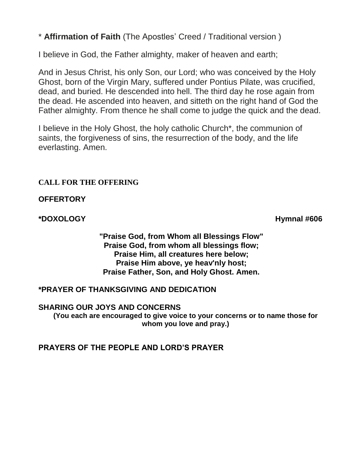\* **Affirmation of Faith** (The Apostles' Creed / Traditional version )

I believe in God, the Father almighty, maker of heaven and earth;

And in Jesus Christ, his only Son, our Lord; who was conceived by the Holy Ghost, born of the Virgin Mary, suffered under Pontius Pilate, was crucified, dead, and buried. He descended into hell. The third day he rose again from the dead. He ascended into heaven, and sitteth on the right hand of God the Father almighty. From thence he shall come to judge the quick and the dead.

I believe in the Holy Ghost, the holy catholic Church\*, the communion of saints, the forgiveness of sins, the resurrection of the body, and the life everlasting. Amen.

#### **CALL FOR THE OFFERING**

**OFFERTORY**

**\*DOXOLOGY Hymnal #606** 

**"Praise God, from Whom all Blessings Flow" Praise God, from whom all blessings flow; Praise Him, all creatures here below; Praise Him above, ye heav'nly host; Praise Father, Son, and Holy Ghost. Amen.**

**\*PRAYER OF THANKSGIVING AND DEDICATION**

**SHARING OUR JOYS AND CONCERNS**

**(You each are encouraged to give voice to your concerns or to name those for whom you love and pray.)**

**PRAYERS OF THE PEOPLE AND LORD'S PRAYER**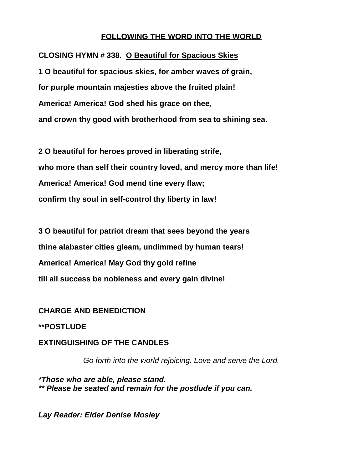#### **FOLLOWING THE WORD INTO THE WORLD**

**CLOSING HYMN # 338. O Beautiful for Spacious Skies 1 O beautiful for spacious skies, for amber waves of grain, for purple mountain majesties above the fruited plain! America! America! God shed his grace on thee, and crown thy good with brotherhood from sea to shining sea.**

**2 O beautiful for heroes proved in liberating strife, who more than self their country loved, and mercy more than life! America! America! God mend tine every flaw; confirm thy soul in self-control thy liberty in law!**

**3 O beautiful for patriot dream that sees beyond the years thine alabaster cities gleam, undimmed by human tears! America! America! May God thy gold refine till all success be nobleness and every gain divine!**

#### **CHARGE AND BENEDICTION**

**\*\*POSTLUDE**

#### **EXTINGUISHING OF THE CANDLES**

*Go forth into the world rejoicing. Love and serve the Lord.*

*\*Those who are able, please stand. \*\* Please be seated and remain for the postlude if you can.*

*Lay Reader: Elder Denise Mosley*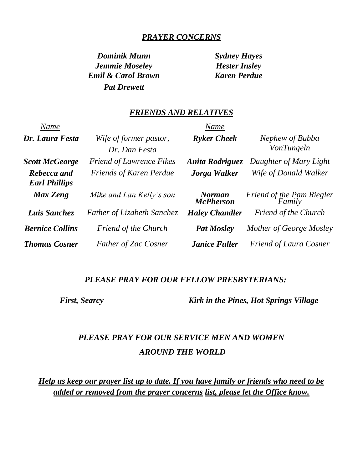#### *PRAYER CONCERNS*

*Dominik Munn Sydney Hayes Jemmie Moseley Hester Insley Emil & Carol Brown Karen Perdue Pat Drewett*

#### *FRIENDS AND RELATIVES*

| Name                                |                                         | Name                              |                                      |
|-------------------------------------|-----------------------------------------|-----------------------------------|--------------------------------------|
| Dr. Laura Festa                     | Wife of former pastor,<br>Dr. Dan Festa | <b>Ryker Cheek</b>                | Nephew of Bubba<br><b>VonTungeln</b> |
| <b>Scott McGeorge</b>               | <b>Friend of Lawrence Fikes</b>         | Anita Rodriguez                   | Daughter of Mary Light               |
| Rebecca and<br><b>Earl Phillips</b> | <b>Friends of Karen Perdue</b>          | Jorga Walker                      | Wife of Donald Walker                |
| Max Zeng                            | Mike and Lan Kelly's son                | <b>Norman</b><br><b>McPherson</b> | Friend of the Pam Riegler<br>Family  |
| Luis Sanchez                        | <b>Father of Lizabeth Sanchez</b>       | <b>Haley Chandler</b>             | <b>Friend of the Church</b>          |
| <b>Bernice Collins</b>              | <b>Friend of the Church</b>             | <b>Pat Mosley</b>                 | Mother of George Mosley              |
| <b>Thomas Cosner</b>                | <b>Father of Zac Cosner</b>             | <b>Janice Fuller</b>              | <b>Friend of Laura Cosner</b>        |

#### *PLEASE PRAY FOR OUR FELLOW PRESBYTERIANS:*

 *First, Searcy Kirk in the Pines, Hot Springs Village*

## *PLEASE PRAY FOR OUR SERVICE MEN AND WOMEN AROUND THE WORLD*

*Help us keep our prayer list up to date. If you have family or friends who need to be added or removed from the prayer concerns list, please let the Office know.*